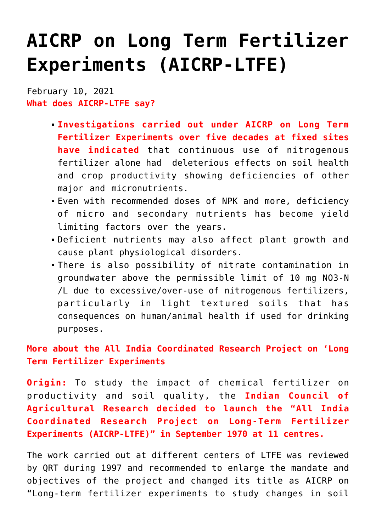# **[AICRP on Long Term Fertilizer](https://journalsofindia.com/aicrp-on-long-term-fertilizer-experiments-aicrp-ltfe/) [Experiments \(AICRP-LTFE\)](https://journalsofindia.com/aicrp-on-long-term-fertilizer-experiments-aicrp-ltfe/)**

February 10, 2021 **What does AICRP-LTFE say?**

- **Investigations carried out under AICRP on Long Term Fertilizer Experiments over five decades at fixed sites have indicated** that continuous use of nitrogenous fertilizer alone had deleterious effects on soil health and crop productivity showing deficiencies of other major and micronutrients.
- Even with recommended doses of NPK and more, deficiency of micro and secondary nutrients has become yield limiting factors over the years.
- Deficient nutrients may also affect plant growth and cause plant physiological disorders.
- There is also possibility of nitrate contamination in groundwater above the permissible limit of 10 mg NO3-N /L due to excessive/over-use of nitrogenous fertilizers, particularly in light textured soils that has consequences on human/animal health if used for drinking purposes.

**More about the All India Coordinated Research Project on 'Long Term Fertilizer Experiments**

**Origin:** To study the impact of chemical fertilizer on productivity and soil quality, the **Indian Council of Agricultural Research decided to launch the "All India Coordinated Research Project on Long-Term Fertilizer Experiments (AICRP-LTFE)" in September 1970 at 11 centres.**

The work carried out at different centers of LTFE was reviewed by QRT during 1997 and recommended to enlarge the mandate and objectives of the project and changed its title as AICRP on "Long-term fertilizer experiments to study changes in soil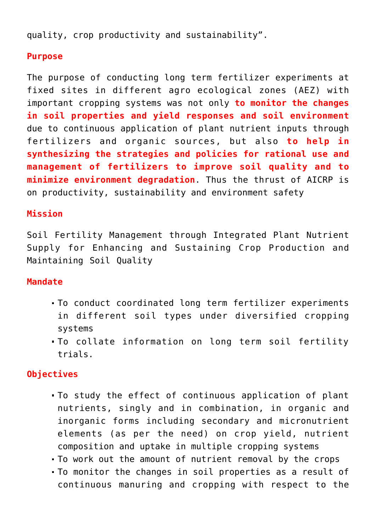quality, crop productivity and sustainability".

### **Purpose**

The purpose of conducting long term fertilizer experiments at fixed sites in different agro ecological zones (AEZ) with important cropping systems was not only **to monitor the changes in soil properties and yield responses and soil environment** due to continuous application of plant nutrient inputs through fertilizers and organic sources, but also **to help in synthesizing the strategies and policies for rational use and management of fertilizers to improve soil quality and to minimize environment degradation**. Thus the thrust of AICRP is on productivity, sustainability and environment safety

#### **Mission**

Soil Fertility Management through Integrated Plant Nutrient Supply for Enhancing and Sustaining Crop Production and Maintaining Soil Quality

#### **Mandate**

- To conduct coordinated long term fertilizer experiments in different soil types under diversified cropping systems
- To collate information on long term soil fertility trials.

## **Objectives**

- To study the effect of continuous application of plant nutrients, singly and in combination, in organic and inorganic forms including secondary and micronutrient elements (as per the need) on crop yield, nutrient composition and uptake in multiple cropping systems
- To work out the amount of nutrient removal by the crops
- To monitor the changes in soil properties as a result of continuous manuring and cropping with respect to the